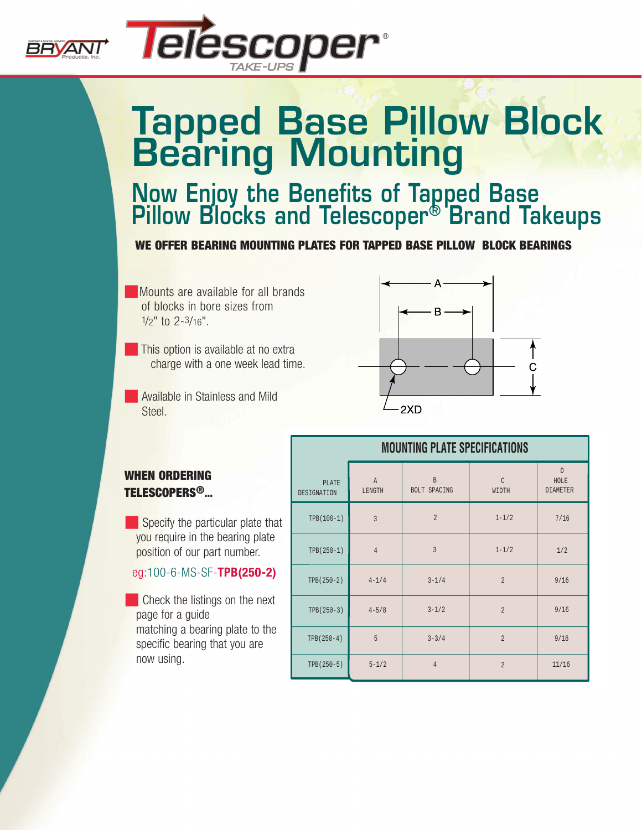



### **Tapped Base Pillow Block Bearing Mounting**

*TAK PS CONVEYOR & INDUSTRIAL COMPONENTS* **Now Enjoy the Benefits of Tapped Base Pillow Blocks and Telescoper® Brand Takeups**

#### **WE OFFER BEARING MOUNTING PLATES FOR TAPPED BASE PILLOW BLOCK BEARINGS**

- Mounts are available for all brands of blocks in bore sizes from  $1/2$ " to  $2-3/16$ ".
- **This option is available at no extra** charge with a one week lead time.
- Available in Stainless and Mild Steel.



#### **WHEN ORDERING TELESCOPERS®...**

**TAK** Specify the particular plate that you require in the bearing plate position of our part number.

#### eg:100-6-MS-SF-**TPB(250-2)**

■ Check the listings on the next page for a guide matching a bearing plate to the specific bearing that you are now using.

|    | <b>MUUNIING PLAIE SPECIFICATIONS</b> |                        |                        |                        |                              |  |  |  |  |
|----|--------------------------------------|------------------------|------------------------|------------------------|------------------------------|--|--|--|--|
|    | PLATE<br>DESIGNATION                 | $\mathbb{A}$<br>LENGTH | $\,$ B<br>BOLT SPACING | $\mathcal{C}$<br>WIDTH | D<br>HOLE<br><b>DIAMETER</b> |  |  |  |  |
| at | $TPB(100-1)$                         | $\overline{3}$         | $\overline{2}$         | $1 - 1/2$              | 7/16                         |  |  |  |  |
|    | $TPB(250-1)$                         | $\overline{4}$         | $\overline{3}$         | $1 - 1/2$              | 1/2                          |  |  |  |  |
|    | $TPB(250-2)$                         | $4 - 1/4$              | $3 - 1/4$              | $\overline{c}$         | 9/16                         |  |  |  |  |
|    | $TPB(250-3)$                         | $4 - 5/8$              | $3 - 1/2$              | $\overline{c}$         | 9/16                         |  |  |  |  |
|    | $TPB(250-4)$                         | 5                      | $3 - 3/4$              | $\overline{2}$         | 9/16                         |  |  |  |  |
|    | TPB(250-5)                           | $5 - 1/2$              | $\overline{4}$         | $\overline{c}$         | 11/16                        |  |  |  |  |